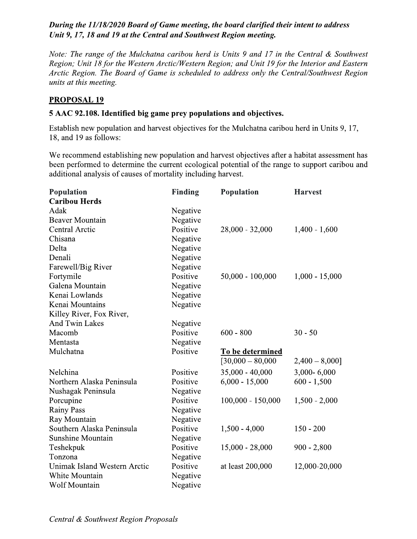## During the 11/18/2020 Board of Game meeting, the board clarified their intent to address Unit 9, 17, 18 and 19 at the Central and Southwest Region meeting.

Note: The range of the Mulchatna caribou herd is Units 9 and 17 in the Central & Southwest Region; Unit 18 for the Western Arctic/Western Region; and Unit 19 for the Interior and Eastern Arctic Region. The Board of Game is scheduled to address only the Central/Southwest Region units at this meeting.

## **PROPOSAL 19**

## 5 AAC 92.108. Identified big game prey populations and objectives.

Establish new population and harvest objectives for the Mulchatna caribou herd in Units 9, 17, 18, and 19 as follows:

We recommend establishing new population and harvest objectives after a habitat assessment has been performed to determine the current ecological potential of the range to support caribou and additional analysis of causes of mortality including harvest.

| Population                   | <b>Finding</b> | Population          | <b>Harvest</b>   |
|------------------------------|----------------|---------------------|------------------|
| <b>Caribou Herds</b>         |                |                     |                  |
| Adak                         | Negative       |                     |                  |
| <b>Beaver Mountain</b>       | Negative       |                     |                  |
| Central Arctic               | Positive       | 28,000 - 32,000     | $1,400 - 1,600$  |
| Chisana                      | Negative       |                     |                  |
| Delta                        | Negative       |                     |                  |
| Denali                       | Negative       |                     |                  |
| Farewell/Big River           | Negative       |                     |                  |
| Fortymile                    | Positive       | $50,000 - 100,000$  | $1,000 - 15,000$ |
| Galena Mountain              | Negative       |                     |                  |
| Kenai Lowlands               | Negative       |                     |                  |
| Kenai Mountains              | Negative       |                     |                  |
| Killey River, Fox River,     |                |                     |                  |
| <b>And Twin Lakes</b>        | Negative       |                     |                  |
| Macomb                       | Positive       | $600 - 800$         | $30 - 50$        |
| Mentasta                     | Negative       |                     |                  |
| Mulchatna                    | Positive       | To be determined    |                  |
|                              |                | $[30,000 - 80,000]$ | $2,400 - 8,000$  |
| Nelchina                     | Positive       | $35,000 - 40,000$   | 3,000-6,000      |
| Northern Alaska Peninsula    | Positive       | $6,000 - 15,000$    | $600 - 1,500$    |
| Nushagak Peninsula           | Negative       |                     |                  |
| Porcupine                    | Positive       | $100,000 - 150,000$ | $1,500 - 2,000$  |
| <b>Rainy Pass</b>            | Negative       |                     |                  |
| Ray Mountain                 | Negative       |                     |                  |
| Southern Alaska Peninsula    | Positive       | $1,500 - 4,000$     | $150 - 200$      |
| Sunshine Mountain            | Negative       |                     |                  |
| Teshekpuk                    | Positive       | $15,000 - 28,000$   | $900 - 2,800$    |
| Tonzona                      | Negative       |                     |                  |
| Unimak Island Western Arctic | Positive       | at least 200,000    | 12,000-20,000    |
| White Mountain               | Negative       |                     |                  |
| Wolf Mountain                | Negative       |                     |                  |